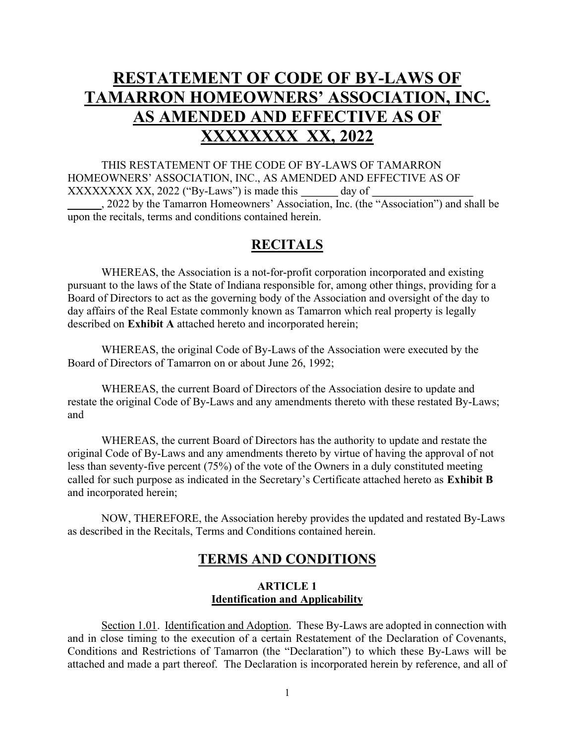# RESTATEMENT OF CODE OF BY-LAWS OF TAMARRON HOMEOWNERS' ASSOCIATION, INC. AS AMENDED AND EFFECTIVE AS OF XXXXXXXX XX, 2022

THIS RESTATEMENT OF THE CODE OF BY-LAWS OF TAMARRON HOMEOWNERS' ASSOCIATION, INC., AS AMENDED AND EFFECTIVE AS OF XXXXXXXX XX, 2022 ("By-Laws") is made this day of , 2022 by the Tamarron Homeowners' Association, Inc. (the "Association") and shall be upon the recitals, terms and conditions contained herein.

# **RECITALS**

 WHEREAS, the Association is a not-for-profit corporation incorporated and existing pursuant to the laws of the State of Indiana responsible for, among other things, providing for a Board of Directors to act as the governing body of the Association and oversight of the day to day affairs of the Real Estate commonly known as Tamarron which real property is legally described on Exhibit A attached hereto and incorporated herein;

 WHEREAS, the original Code of By-Laws of the Association were executed by the Board of Directors of Tamarron on or about June 26, 1992;

 WHEREAS, the current Board of Directors of the Association desire to update and restate the original Code of By-Laws and any amendments thereto with these restated By-Laws; and

 WHEREAS, the current Board of Directors has the authority to update and restate the original Code of By-Laws and any amendments thereto by virtue of having the approval of not less than seventy-five percent (75%) of the vote of the Owners in a duly constituted meeting called for such purpose as indicated in the Secretary's Certificate attached hereto as Exhibit B and incorporated herein;

 NOW, THEREFORE, the Association hereby provides the updated and restated By-Laws as described in the Recitals, Terms and Conditions contained herein.

## TERMS AND CONDITIONS

## ARTICLE 1 Identification and Applicability

Section 1.01. Identification and Adoption. These By-Laws are adopted in connection with and in close timing to the execution of a certain Restatement of the Declaration of Covenants, Conditions and Restrictions of Tamarron (the "Declaration") to which these By-Laws will be attached and made a part thereof. The Declaration is incorporated herein by reference, and all of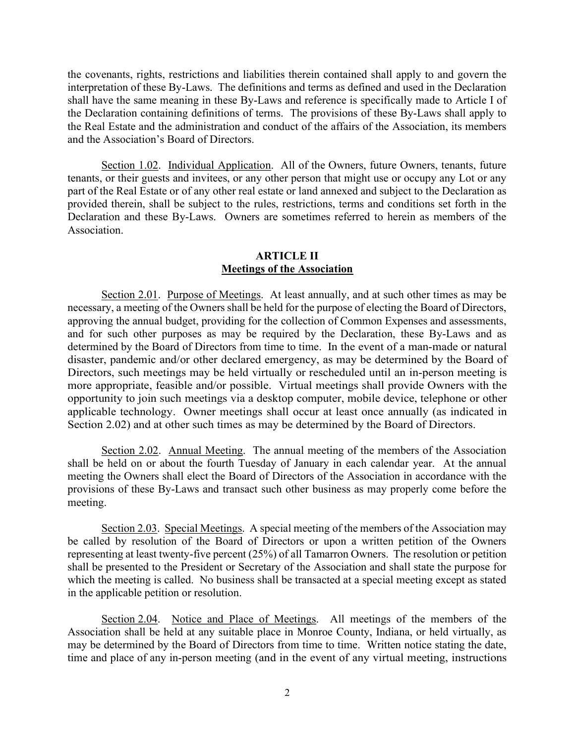the covenants, rights, restrictions and liabilities therein contained shall apply to and govern the interpretation of these By-Laws. The definitions and terms as defined and used in the Declaration shall have the same meaning in these By-Laws and reference is specifically made to Article I of the Declaration containing definitions of terms. The provisions of these By-Laws shall apply to the Real Estate and the administration and conduct of the affairs of the Association, its members and the Association's Board of Directors.

Section 1.02. Individual Application. All of the Owners, future Owners, tenants, future tenants, or their guests and invitees, or any other person that might use or occupy any Lot or any part of the Real Estate or of any other real estate or land annexed and subject to the Declaration as provided therein, shall be subject to the rules, restrictions, terms and conditions set forth in the Declaration and these By-Laws. Owners are sometimes referred to herein as members of the Association.

#### ARTICLE II Meetings of the Association

Section 2.01. Purpose of Meetings. At least annually, and at such other times as may be necessary, a meeting of the Owners shall be held for the purpose of electing the Board of Directors, approving the annual budget, providing for the collection of Common Expenses and assessments, and for such other purposes as may be required by the Declaration, these By-Laws and as determined by the Board of Directors from time to time. In the event of a man-made or natural disaster, pandemic and/or other declared emergency, as may be determined by the Board of Directors, such meetings may be held virtually or rescheduled until an in-person meeting is more appropriate, feasible and/or possible. Virtual meetings shall provide Owners with the opportunity to join such meetings via a desktop computer, mobile device, telephone or other applicable technology. Owner meetings shall occur at least once annually (as indicated in Section 2.02) and at other such times as may be determined by the Board of Directors.

Section 2.02. Annual Meeting. The annual meeting of the members of the Association shall be held on or about the fourth Tuesday of January in each calendar year. At the annual meeting the Owners shall elect the Board of Directors of the Association in accordance with the provisions of these By-Laws and transact such other business as may properly come before the meeting.

Section 2.03. Special Meetings. A special meeting of the members of the Association may be called by resolution of the Board of Directors or upon a written petition of the Owners representing at least twenty-five percent (25%) of all Tamarron Owners. The resolution or petition shall be presented to the President or Secretary of the Association and shall state the purpose for which the meeting is called. No business shall be transacted at a special meeting except as stated in the applicable petition or resolution.

Section 2.04. Notice and Place of Meetings. All meetings of the members of the Association shall be held at any suitable place in Monroe County, Indiana, or held virtually, as may be determined by the Board of Directors from time to time. Written notice stating the date, time and place of any in-person meeting (and in the event of any virtual meeting, instructions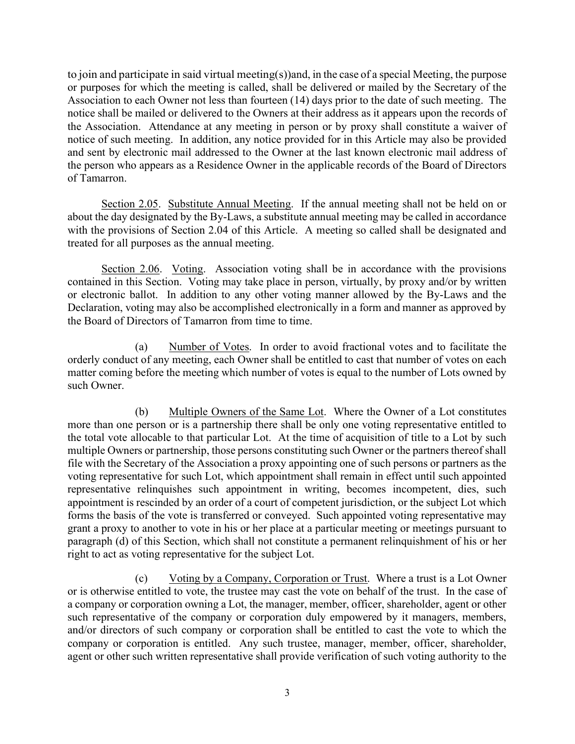to join and participate in said virtual meeting(s))and, in the case of a special Meeting, the purpose or purposes for which the meeting is called, shall be delivered or mailed by the Secretary of the Association to each Owner not less than fourteen (14) days prior to the date of such meeting. The notice shall be mailed or delivered to the Owners at their address as it appears upon the records of the Association. Attendance at any meeting in person or by proxy shall constitute a waiver of notice of such meeting. In addition, any notice provided for in this Article may also be provided and sent by electronic mail addressed to the Owner at the last known electronic mail address of the person who appears as a Residence Owner in the applicable records of the Board of Directors of Tamarron.

Section 2.05. Substitute Annual Meeting. If the annual meeting shall not be held on or about the day designated by the By-Laws, a substitute annual meeting may be called in accordance with the provisions of Section 2.04 of this Article. A meeting so called shall be designated and treated for all purposes as the annual meeting.

Section 2.06. Voting. Association voting shall be in accordance with the provisions contained in this Section. Voting may take place in person, virtually, by proxy and/or by written or electronic ballot. In addition to any other voting manner allowed by the By-Laws and the Declaration, voting may also be accomplished electronically in a form and manner as approved by the Board of Directors of Tamarron from time to time.

(a) Number of Votes. In order to avoid fractional votes and to facilitate the orderly conduct of any meeting, each Owner shall be entitled to cast that number of votes on each matter coming before the meeting which number of votes is equal to the number of Lots owned by such Owner.

(b) Multiple Owners of the Same Lot. Where the Owner of a Lot constitutes more than one person or is a partnership there shall be only one voting representative entitled to the total vote allocable to that particular Lot. At the time of acquisition of title to a Lot by such multiple Owners or partnership, those persons constituting such Owner or the partners thereof shall file with the Secretary of the Association a proxy appointing one of such persons or partners as the voting representative for such Lot, which appointment shall remain in effect until such appointed representative relinquishes such appointment in writing, becomes incompetent, dies, such appointment is rescinded by an order of a court of competent jurisdiction, or the subject Lot which forms the basis of the vote is transferred or conveyed. Such appointed voting representative may grant a proxy to another to vote in his or her place at a particular meeting or meetings pursuant to paragraph (d) of this Section, which shall not constitute a permanent relinquishment of his or her right to act as voting representative for the subject Lot.

(c) Voting by a Company, Corporation or Trust. Where a trust is a Lot Owner or is otherwise entitled to vote, the trustee may cast the vote on behalf of the trust. In the case of a company or corporation owning a Lot, the manager, member, officer, shareholder, agent or other such representative of the company or corporation duly empowered by it managers, members, and/or directors of such company or corporation shall be entitled to cast the vote to which the company or corporation is entitled. Any such trustee, manager, member, officer, shareholder, agent or other such written representative shall provide verification of such voting authority to the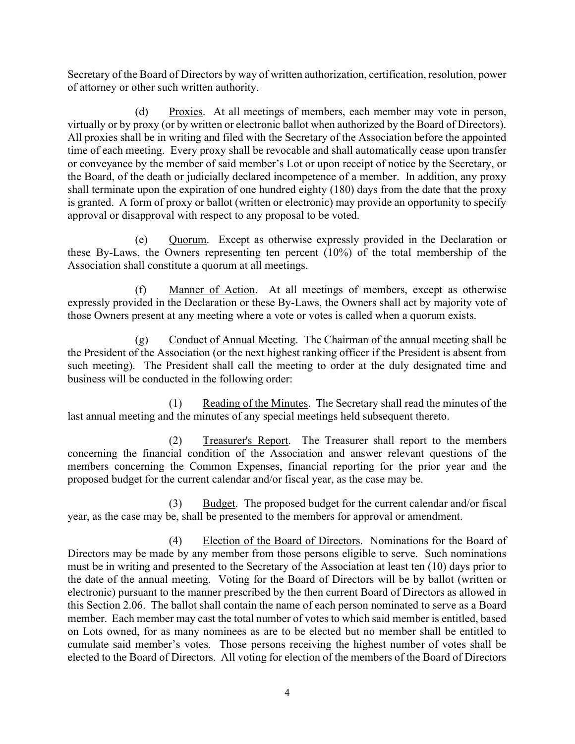Secretary of the Board of Directors by way of written authorization, certification, resolution, power of attorney or other such written authority.

(d) Proxies. At all meetings of members, each member may vote in person, virtually or by proxy (or by written or electronic ballot when authorized by the Board of Directors). All proxies shall be in writing and filed with the Secretary of the Association before the appointed time of each meeting. Every proxy shall be revocable and shall automatically cease upon transfer or conveyance by the member of said member's Lot or upon receipt of notice by the Secretary, or the Board, of the death or judicially declared incompetence of a member. In addition, any proxy shall terminate upon the expiration of one hundred eighty (180) days from the date that the proxy is granted. A form of proxy or ballot (written or electronic) may provide an opportunity to specify approval or disapproval with respect to any proposal to be voted.

(e) Quorum. Except as otherwise expressly provided in the Declaration or these By-Laws, the Owners representing ten percent (10%) of the total membership of the Association shall constitute a quorum at all meetings.

(f) Manner of Action. At all meetings of members, except as otherwise expressly provided in the Declaration or these By-Laws, the Owners shall act by majority vote of those Owners present at any meeting where a vote or votes is called when a quorum exists.

(g) Conduct of Annual Meeting. The Chairman of the annual meeting shall be the President of the Association (or the next highest ranking officer if the President is absent from such meeting). The President shall call the meeting to order at the duly designated time and business will be conducted in the following order:

 (1) Reading of the Minutes. The Secretary shall read the minutes of the last annual meeting and the minutes of any special meetings held subsequent thereto.

 (2) Treasurer's Report. The Treasurer shall report to the members concerning the financial condition of the Association and answer relevant questions of the members concerning the Common Expenses, financial reporting for the prior year and the proposed budget for the current calendar and/or fiscal year, as the case may be.

 (3) Budget. The proposed budget for the current calendar and/or fiscal year, as the case may be, shall be presented to the members for approval or amendment.

 (4) Election of the Board of Directors. Nominations for the Board of Directors may be made by any member from those persons eligible to serve. Such nominations must be in writing and presented to the Secretary of the Association at least ten (10) days prior to the date of the annual meeting. Voting for the Board of Directors will be by ballot (written or electronic) pursuant to the manner prescribed by the then current Board of Directors as allowed in this Section 2.06. The ballot shall contain the name of each person nominated to serve as a Board member. Each member may cast the total number of votes to which said member is entitled, based on Lots owned, for as many nominees as are to be elected but no member shall be entitled to cumulate said member's votes. Those persons receiving the highest number of votes shall be elected to the Board of Directors. All voting for election of the members of the Board of Directors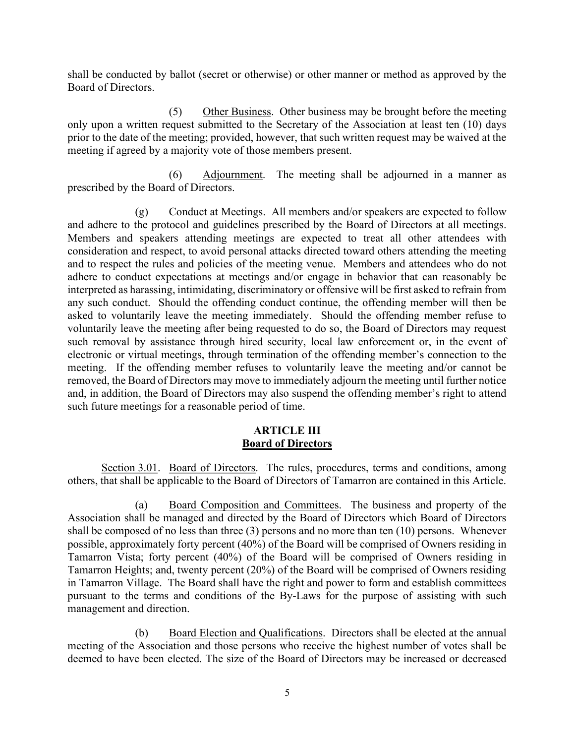shall be conducted by ballot (secret or otherwise) or other manner or method as approved by the Board of Directors.

 (5) Other Business. Other business may be brought before the meeting only upon a written request submitted to the Secretary of the Association at least ten (10) days prior to the date of the meeting; provided, however, that such written request may be waived at the meeting if agreed by a majority vote of those members present.

 (6) Adjournment. The meeting shall be adjourned in a manner as prescribed by the Board of Directors.

 (g) Conduct at Meetings. All members and/or speakers are expected to follow and adhere to the protocol and guidelines prescribed by the Board of Directors at all meetings. Members and speakers attending meetings are expected to treat all other attendees with consideration and respect, to avoid personal attacks directed toward others attending the meeting and to respect the rules and policies of the meeting venue. Members and attendees who do not adhere to conduct expectations at meetings and/or engage in behavior that can reasonably be interpreted as harassing, intimidating, discriminatory or offensive will be first asked to refrain from any such conduct. Should the offending conduct continue, the offending member will then be asked to voluntarily leave the meeting immediately. Should the offending member refuse to voluntarily leave the meeting after being requested to do so, the Board of Directors may request such removal by assistance through hired security, local law enforcement or, in the event of electronic or virtual meetings, through termination of the offending member's connection to the meeting. If the offending member refuses to voluntarily leave the meeting and/or cannot be removed, the Board of Directors may move to immediately adjourn the meeting until further notice and, in addition, the Board of Directors may also suspend the offending member's right to attend such future meetings for a reasonable period of time.

## ARTICLE III Board of Directors

 Section 3.01. Board of Directors. The rules, procedures, terms and conditions, among others, that shall be applicable to the Board of Directors of Tamarron are contained in this Article.

 (a) Board Composition and Committees. The business and property of the Association shall be managed and directed by the Board of Directors which Board of Directors shall be composed of no less than three (3) persons and no more than ten (10) persons. Whenever possible, approximately forty percent (40%) of the Board will be comprised of Owners residing in Tamarron Vista; forty percent (40%) of the Board will be comprised of Owners residing in Tamarron Heights; and, twenty percent (20%) of the Board will be comprised of Owners residing in Tamarron Village. The Board shall have the right and power to form and establish committees pursuant to the terms and conditions of the By-Laws for the purpose of assisting with such management and direction.

 (b) Board Election and Qualifications. Directors shall be elected at the annual meeting of the Association and those persons who receive the highest number of votes shall be deemed to have been elected. The size of the Board of Directors may be increased or decreased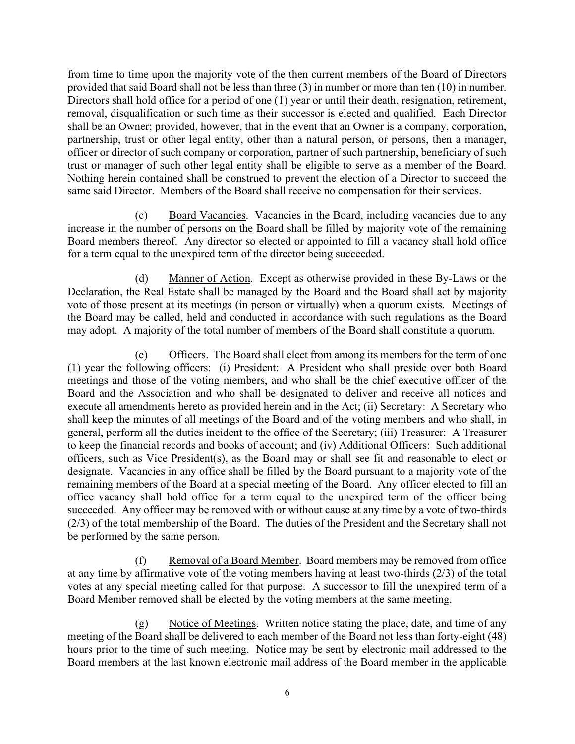from time to time upon the majority vote of the then current members of the Board of Directors provided that said Board shall not be less than three (3) in number or more than ten (10) in number. Directors shall hold office for a period of one (1) year or until their death, resignation, retirement, removal, disqualification or such time as their successor is elected and qualified. Each Director shall be an Owner; provided, however, that in the event that an Owner is a company, corporation, partnership, trust or other legal entity, other than a natural person, or persons, then a manager, officer or director of such company or corporation, partner of such partnership, beneficiary of such trust or manager of such other legal entity shall be eligible to serve as a member of the Board. Nothing herein contained shall be construed to prevent the election of a Director to succeed the same said Director. Members of the Board shall receive no compensation for their services.

 (c) Board Vacancies. Vacancies in the Board, including vacancies due to any increase in the number of persons on the Board shall be filled by majority vote of the remaining Board members thereof. Any director so elected or appointed to fill a vacancy shall hold office for a term equal to the unexpired term of the director being succeeded.

 (d) Manner of Action. Except as otherwise provided in these By-Laws or the Declaration, the Real Estate shall be managed by the Board and the Board shall act by majority vote of those present at its meetings (in person or virtually) when a quorum exists. Meetings of the Board may be called, held and conducted in accordance with such regulations as the Board may adopt. A majority of the total number of members of the Board shall constitute a quorum.

 (e) Officers. The Board shall elect from among its members for the term of one (1) year the following officers: (i) President: A President who shall preside over both Board meetings and those of the voting members, and who shall be the chief executive officer of the Board and the Association and who shall be designated to deliver and receive all notices and execute all amendments hereto as provided herein and in the Act; (ii) Secretary: A Secretary who shall keep the minutes of all meetings of the Board and of the voting members and who shall, in general, perform all the duties incident to the office of the Secretary; (iii) Treasurer: A Treasurer to keep the financial records and books of account; and (iv) Additional Officers: Such additional officers, such as Vice President(s), as the Board may or shall see fit and reasonable to elect or designate. Vacancies in any office shall be filled by the Board pursuant to a majority vote of the remaining members of the Board at a special meeting of the Board. Any officer elected to fill an office vacancy shall hold office for a term equal to the unexpired term of the officer being succeeded. Any officer may be removed with or without cause at any time by a vote of two-thirds (2/3) of the total membership of the Board. The duties of the President and the Secretary shall not be performed by the same person.

 (f) Removal of a Board Member. Board members may be removed from office at any time by affirmative vote of the voting members having at least two-thirds (2/3) of the total votes at any special meeting called for that purpose. A successor to fill the unexpired term of a Board Member removed shall be elected by the voting members at the same meeting.

 (g) Notice of Meetings. Written notice stating the place, date, and time of any meeting of the Board shall be delivered to each member of the Board not less than forty-eight (48) hours prior to the time of such meeting. Notice may be sent by electronic mail addressed to the Board members at the last known electronic mail address of the Board member in the applicable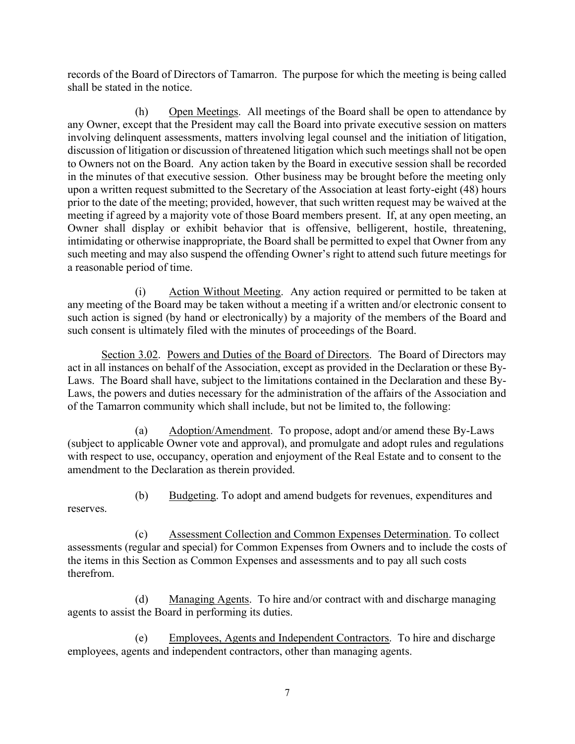records of the Board of Directors of Tamarron. The purpose for which the meeting is being called shall be stated in the notice.

 (h) Open Meetings. All meetings of the Board shall be open to attendance by any Owner, except that the President may call the Board into private executive session on matters involving delinquent assessments, matters involving legal counsel and the initiation of litigation, discussion of litigation or discussion of threatened litigation which such meetings shall not be open to Owners not on the Board. Any action taken by the Board in executive session shall be recorded in the minutes of that executive session. Other business may be brought before the meeting only upon a written request submitted to the Secretary of the Association at least forty-eight (48) hours prior to the date of the meeting; provided, however, that such written request may be waived at the meeting if agreed by a majority vote of those Board members present. If, at any open meeting, an Owner shall display or exhibit behavior that is offensive, belligerent, hostile, threatening, intimidating or otherwise inappropriate, the Board shall be permitted to expel that Owner from any such meeting and may also suspend the offending Owner's right to attend such future meetings for a reasonable period of time.

 (i) Action Without Meeting. Any action required or permitted to be taken at any meeting of the Board may be taken without a meeting if a written and/or electronic consent to such action is signed (by hand or electronically) by a majority of the members of the Board and such consent is ultimately filed with the minutes of proceedings of the Board.

Section 3.02. Powers and Duties of the Board of Directors. The Board of Directors may act in all instances on behalf of the Association, except as provided in the Declaration or these By-Laws. The Board shall have, subject to the limitations contained in the Declaration and these By-Laws, the powers and duties necessary for the administration of the affairs of the Association and of the Tamarron community which shall include, but not be limited to, the following:

 (a) Adoption/Amendment. To propose, adopt and/or amend these By-Laws (subject to applicable Owner vote and approval), and promulgate and adopt rules and regulations with respect to use, occupancy, operation and enjoyment of the Real Estate and to consent to the amendment to the Declaration as therein provided.

(b) Budgeting. To adopt and amend budgets for revenues, expenditures and

reserves.

 (c) Assessment Collection and Common Expenses Determination. To collect assessments (regular and special) for Common Expenses from Owners and to include the costs of the items in this Section as Common Expenses and assessments and to pay all such costs therefrom.

 (d) Managing Agents. To hire and/or contract with and discharge managing agents to assist the Board in performing its duties.

 (e) Employees, Agents and Independent Contractors. To hire and discharge employees, agents and independent contractors, other than managing agents.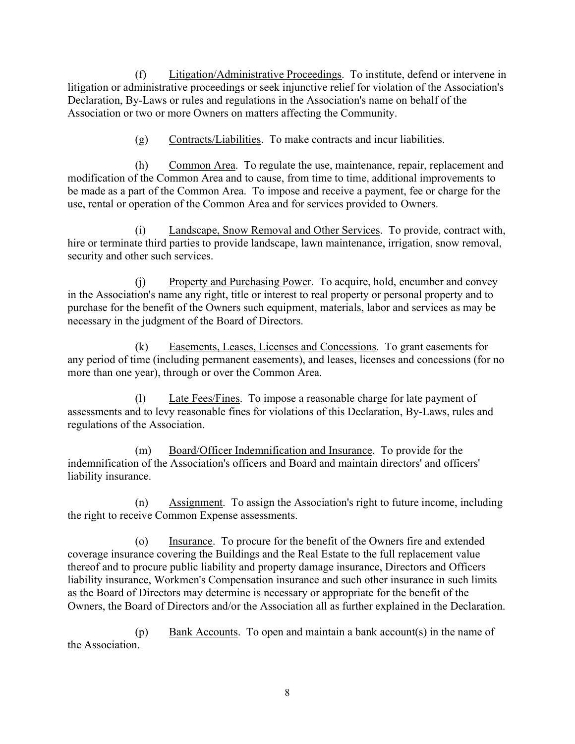(f) Litigation/Administrative Proceedings. To institute, defend or intervene in litigation or administrative proceedings or seek injunctive relief for violation of the Association's Declaration, By-Laws or rules and regulations in the Association's name on behalf of the Association or two or more Owners on matters affecting the Community.

(g) Contracts/Liabilities. To make contracts and incur liabilities.

 (h) Common Area. To regulate the use, maintenance, repair, replacement and modification of the Common Area and to cause, from time to time, additional improvements to be made as a part of the Common Area. To impose and receive a payment, fee or charge for the use, rental or operation of the Common Area and for services provided to Owners.

 (i) Landscape, Snow Removal and Other Services. To provide, contract with, hire or terminate third parties to provide landscape, lawn maintenance, irrigation, snow removal, security and other such services.

(j) Property and Purchasing Power. To acquire, hold, encumber and convey in the Association's name any right, title or interest to real property or personal property and to purchase for the benefit of the Owners such equipment, materials, labor and services as may be necessary in the judgment of the Board of Directors.

 (k) Easements, Leases, Licenses and Concessions. To grant easements for any period of time (including permanent easements), and leases, licenses and concessions (for no more than one year), through or over the Common Area.

 (l) Late Fees/Fines. To impose a reasonable charge for late payment of assessments and to levy reasonable fines for violations of this Declaration, By-Laws, rules and regulations of the Association.

 (m) Board/Officer Indemnification and Insurance. To provide for the indemnification of the Association's officers and Board and maintain directors' and officers' liability insurance.

 (n) Assignment. To assign the Association's right to future income, including the right to receive Common Expense assessments.

 (o) Insurance. To procure for the benefit of the Owners fire and extended coverage insurance covering the Buildings and the Real Estate to the full replacement value thereof and to procure public liability and property damage insurance, Directors and Officers liability insurance, Workmen's Compensation insurance and such other insurance in such limits as the Board of Directors may determine is necessary or appropriate for the benefit of the Owners, the Board of Directors and/or the Association all as further explained in the Declaration.

 (p) Bank Accounts. To open and maintain a bank account(s) in the name of the Association.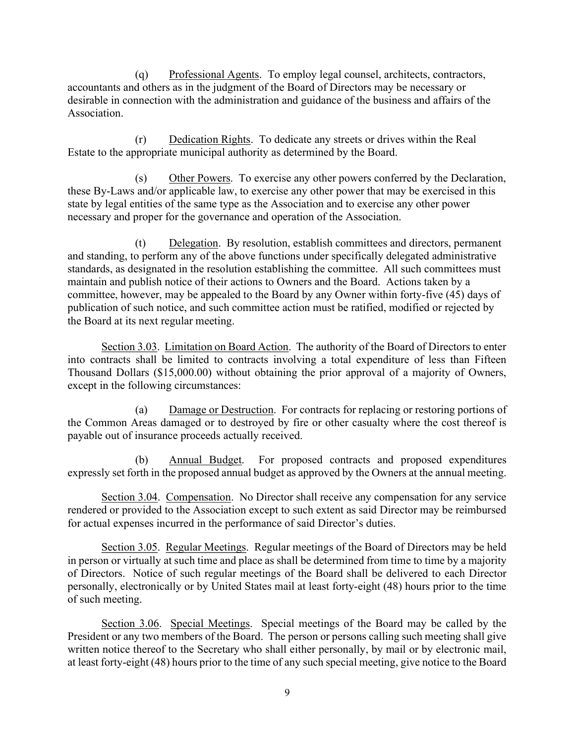(q) Professional Agents. To employ legal counsel, architects, contractors, accountants and others as in the judgment of the Board of Directors may be necessary or desirable in connection with the administration and guidance of the business and affairs of the Association.

 (r) Dedication Rights. To dedicate any streets or drives within the Real Estate to the appropriate municipal authority as determined by the Board.

 (s) Other Powers. To exercise any other powers conferred by the Declaration, these By-Laws and/or applicable law, to exercise any other power that may be exercised in this state by legal entities of the same type as the Association and to exercise any other power necessary and proper for the governance and operation of the Association.

 (t) Delegation. By resolution, establish committees and directors, permanent and standing, to perform any of the above functions under specifically delegated administrative standards, as designated in the resolution establishing the committee. All such committees must maintain and publish notice of their actions to Owners and the Board. Actions taken by a committee, however, may be appealed to the Board by any Owner within forty-five (45) days of publication of such notice, and such committee action must be ratified, modified or rejected by the Board at its next regular meeting.

Section 3.03. Limitation on Board Action. The authority of the Board of Directors to enter into contracts shall be limited to contracts involving a total expenditure of less than Fifteen Thousand Dollars (\$15,000.00) without obtaining the prior approval of a majority of Owners, except in the following circumstances:

 (a) Damage or Destruction. For contracts for replacing or restoring portions of the Common Areas damaged or to destroyed by fire or other casualty where the cost thereof is payable out of insurance proceeds actually received.

 (b) Annual Budget. For proposed contracts and proposed expenditures expressly set forth in the proposed annual budget as approved by the Owners at the annual meeting.

Section 3.04. Compensation. No Director shall receive any compensation for any service rendered or provided to the Association except to such extent as said Director may be reimbursed for actual expenses incurred in the performance of said Director's duties.

Section 3.05. Regular Meetings. Regular meetings of the Board of Directors may be held in person or virtually at such time and place as shall be determined from time to time by a majority of Directors. Notice of such regular meetings of the Board shall be delivered to each Director personally, electronically or by United States mail at least forty-eight (48) hours prior to the time of such meeting.

Section 3.06. Special Meetings. Special meetings of the Board may be called by the President or any two members of the Board. The person or persons calling such meeting shall give written notice thereof to the Secretary who shall either personally, by mail or by electronic mail, at least forty-eight (48) hours prior to the time of any such special meeting, give notice to the Board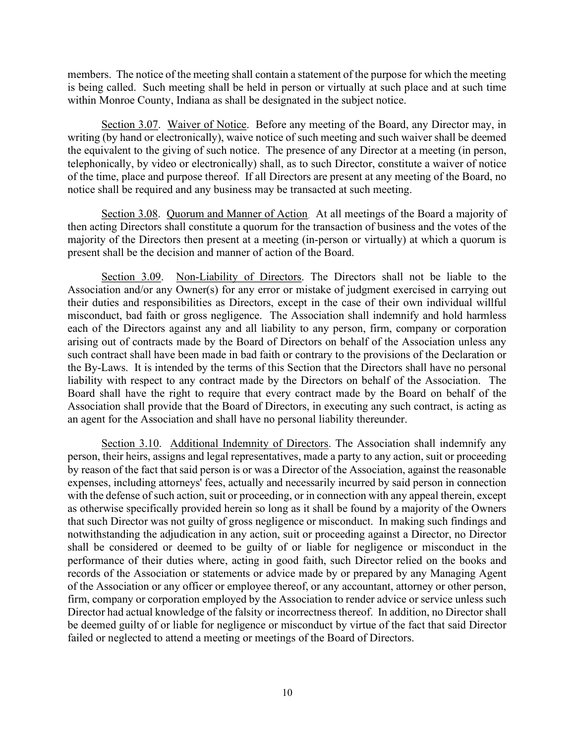members. The notice of the meeting shall contain a statement of the purpose for which the meeting is being called. Such meeting shall be held in person or virtually at such place and at such time within Monroe County, Indiana as shall be designated in the subject notice.

Section 3.07. Waiver of Notice. Before any meeting of the Board, any Director may, in writing (by hand or electronically), waive notice of such meeting and such waiver shall be deemed the equivalent to the giving of such notice. The presence of any Director at a meeting (in person, telephonically, by video or electronically) shall, as to such Director, constitute a waiver of notice of the time, place and purpose thereof. If all Directors are present at any meeting of the Board, no notice shall be required and any business may be transacted at such meeting.

Section 3.08. Quorum and Manner of Action. At all meetings of the Board a majority of then acting Directors shall constitute a quorum for the transaction of business and the votes of the majority of the Directors then present at a meeting (in-person or virtually) at which a quorum is present shall be the decision and manner of action of the Board.

Section 3.09. Non-Liability of Directors. The Directors shall not be liable to the Association and/or any Owner(s) for any error or mistake of judgment exercised in carrying out their duties and responsibilities as Directors, except in the case of their own individual willful misconduct, bad faith or gross negligence. The Association shall indemnify and hold harmless each of the Directors against any and all liability to any person, firm, company or corporation arising out of contracts made by the Board of Directors on behalf of the Association unless any such contract shall have been made in bad faith or contrary to the provisions of the Declaration or the By-Laws. It is intended by the terms of this Section that the Directors shall have no personal liability with respect to any contract made by the Directors on behalf of the Association. The Board shall have the right to require that every contract made by the Board on behalf of the Association shall provide that the Board of Directors, in executing any such contract, is acting as an agent for the Association and shall have no personal liability thereunder.

Section 3.10. Additional Indemnity of Directors. The Association shall indemnify any person, their heirs, assigns and legal representatives, made a party to any action, suit or proceeding by reason of the fact that said person is or was a Director of the Association, against the reasonable expenses, including attorneys' fees, actually and necessarily incurred by said person in connection with the defense of such action, suit or proceeding, or in connection with any appeal therein, except as otherwise specifically provided herein so long as it shall be found by a majority of the Owners that such Director was not guilty of gross negligence or misconduct. In making such findings and notwithstanding the adjudication in any action, suit or proceeding against a Director, no Director shall be considered or deemed to be guilty of or liable for negligence or misconduct in the performance of their duties where, acting in good faith, such Director relied on the books and records of the Association or statements or advice made by or prepared by any Managing Agent of the Association or any officer or employee thereof, or any accountant, attorney or other person, firm, company or corporation employed by the Association to render advice or service unless such Director had actual knowledge of the falsity or incorrectness thereof. In addition, no Director shall be deemed guilty of or liable for negligence or misconduct by virtue of the fact that said Director failed or neglected to attend a meeting or meetings of the Board of Directors.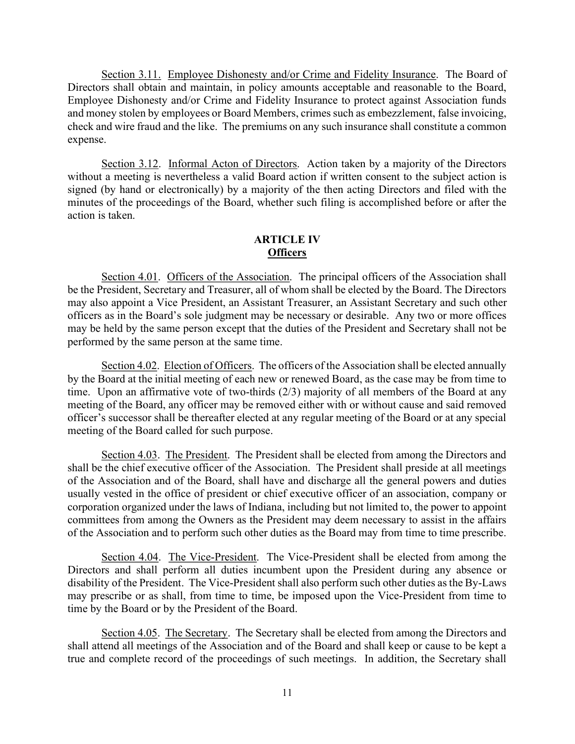Section 3.11. Employee Dishonesty and/or Crime and Fidelity Insurance. The Board of Directors shall obtain and maintain, in policy amounts acceptable and reasonable to the Board, Employee Dishonesty and/or Crime and Fidelity Insurance to protect against Association funds and money stolen by employees or Board Members, crimes such as embezzlement, false invoicing, check and wire fraud and the like. The premiums on any such insurance shall constitute a common expense.

Section 3.12. Informal Acton of Directors. Action taken by a majority of the Directors without a meeting is nevertheless a valid Board action if written consent to the subject action is signed (by hand or electronically) by a majority of the then acting Directors and filed with the minutes of the proceedings of the Board, whether such filing is accomplished before or after the action is taken.

## ARTICLE IV **Officers**

Section 4.01. Officers of the Association. The principal officers of the Association shall be the President, Secretary and Treasurer, all of whom shall be elected by the Board. The Directors may also appoint a Vice President, an Assistant Treasurer, an Assistant Secretary and such other officers as in the Board's sole judgment may be necessary or desirable. Any two or more offices may be held by the same person except that the duties of the President and Secretary shall not be performed by the same person at the same time.

Section 4.02. Election of Officers. The officers of the Association shall be elected annually by the Board at the initial meeting of each new or renewed Board, as the case may be from time to time. Upon an affirmative vote of two-thirds (2/3) majority of all members of the Board at any meeting of the Board, any officer may be removed either with or without cause and said removed officer's successor shall be thereafter elected at any regular meeting of the Board or at any special meeting of the Board called for such purpose.

Section 4.03. The President. The President shall be elected from among the Directors and shall be the chief executive officer of the Association. The President shall preside at all meetings of the Association and of the Board, shall have and discharge all the general powers and duties usually vested in the office of president or chief executive officer of an association, company or corporation organized under the laws of Indiana, including but not limited to, the power to appoint committees from among the Owners as the President may deem necessary to assist in the affairs of the Association and to perform such other duties as the Board may from time to time prescribe.

Section 4.04. The Vice-President. The Vice-President shall be elected from among the Directors and shall perform all duties incumbent upon the President during any absence or disability of the President. The Vice-President shall also perform such other duties as the By-Laws may prescribe or as shall, from time to time, be imposed upon the Vice-President from time to time by the Board or by the President of the Board.

Section 4.05. The Secretary. The Secretary shall be elected from among the Directors and shall attend all meetings of the Association and of the Board and shall keep or cause to be kept a true and complete record of the proceedings of such meetings. In addition, the Secretary shall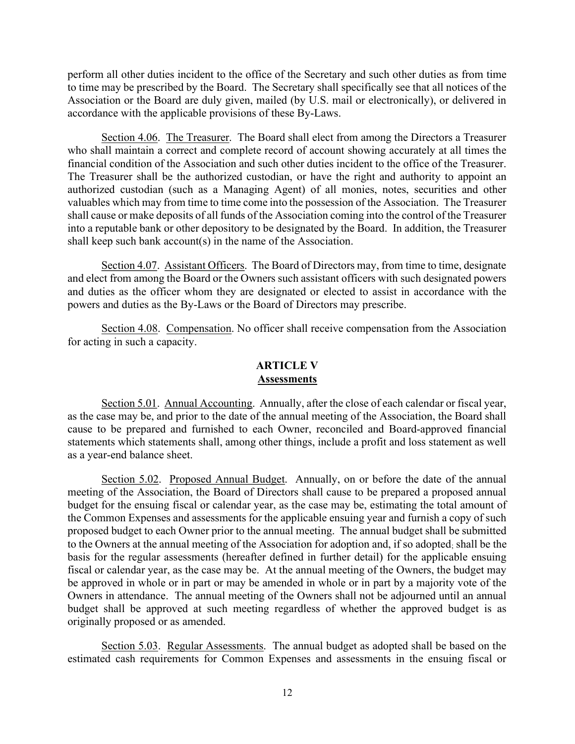perform all other duties incident to the office of the Secretary and such other duties as from time to time may be prescribed by the Board. The Secretary shall specifically see that all notices of the Association or the Board are duly given, mailed (by U.S. mail or electronically), or delivered in accordance with the applicable provisions of these By-Laws.

Section 4.06. The Treasurer. The Board shall elect from among the Directors a Treasurer who shall maintain a correct and complete record of account showing accurately at all times the financial condition of the Association and such other duties incident to the office of the Treasurer. The Treasurer shall be the authorized custodian, or have the right and authority to appoint an authorized custodian (such as a Managing Agent) of all monies, notes, securities and other valuables which may from time to time come into the possession of the Association. The Treasurer shall cause or make deposits of all funds of the Association coming into the control of the Treasurer into a reputable bank or other depository to be designated by the Board. In addition, the Treasurer shall keep such bank account(s) in the name of the Association.

Section 4.07. Assistant Officers. The Board of Directors may, from time to time, designate and elect from among the Board or the Owners such assistant officers with such designated powers and duties as the officer whom they are designated or elected to assist in accordance with the powers and duties as the By-Laws or the Board of Directors may prescribe.

Section 4.08. Compensation. No officer shall receive compensation from the Association for acting in such a capacity.

## ARTICLE V Assessments

Section 5.01. Annual Accounting. Annually, after the close of each calendar or fiscal year, as the case may be, and prior to the date of the annual meeting of the Association, the Board shall cause to be prepared and furnished to each Owner, reconciled and Board-approved financial statements which statements shall, among other things, include a profit and loss statement as well as a year-end balance sheet.

Section 5.02. Proposed Annual Budget. Annually, on or before the date of the annual meeting of the Association, the Board of Directors shall cause to be prepared a proposed annual budget for the ensuing fiscal or calendar year, as the case may be, estimating the total amount of the Common Expenses and assessments for the applicable ensuing year and furnish a copy of such proposed budget to each Owner prior to the annual meeting. The annual budget shall be submitted to the Owners at the annual meeting of the Association for adoption and, if so adopted; shall be the basis for the regular assessments (hereafter defined in further detail) for the applicable ensuing fiscal or calendar year, as the case may be. At the annual meeting of the Owners, the budget may be approved in whole or in part or may be amended in whole or in part by a majority vote of the Owners in attendance. The annual meeting of the Owners shall not be adjourned until an annual budget shall be approved at such meeting regardless of whether the approved budget is as originally proposed or as amended.

 Section 5.03. Regular Assessments. The annual budget as adopted shall be based on the estimated cash requirements for Common Expenses and assessments in the ensuing fiscal or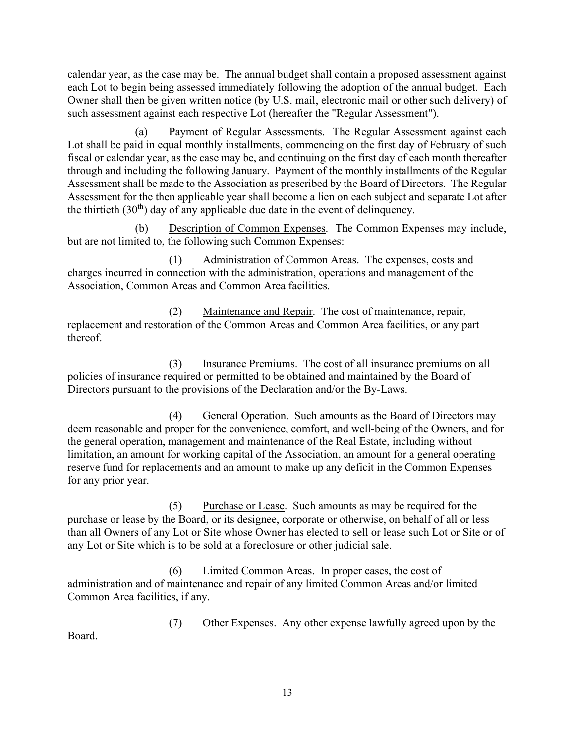calendar year, as the case may be. The annual budget shall contain a proposed assessment against each Lot to begin being assessed immediately following the adoption of the annual budget. Each Owner shall then be given written notice (by U.S. mail, electronic mail or other such delivery) of such assessment against each respective Lot (hereafter the "Regular Assessment").

 (a) Payment of Regular Assessments. The Regular Assessment against each Lot shall be paid in equal monthly installments, commencing on the first day of February of such fiscal or calendar year, as the case may be, and continuing on the first day of each month thereafter through and including the following January. Payment of the monthly installments of the Regular Assessment shall be made to the Association as prescribed by the Board of Directors. The Regular Assessment for the then applicable year shall become a lien on each subject and separate Lot after the thirtieth  $(30<sup>th</sup>)$  day of any applicable due date in the event of delinquency.

 (b) Description of Common Expenses. The Common Expenses may include, but are not limited to, the following such Common Expenses:

 (1) Administration of Common Areas. The expenses, costs and charges incurred in connection with the administration, operations and management of the Association, Common Areas and Common Area facilities.

 (2) Maintenance and Repair. The cost of maintenance, repair, replacement and restoration of the Common Areas and Common Area facilities, or any part thereof.

 (3) Insurance Premiums. The cost of all insurance premiums on all policies of insurance required or permitted to be obtained and maintained by the Board of Directors pursuant to the provisions of the Declaration and/or the By-Laws.

 (4) General Operation. Such amounts as the Board of Directors may deem reasonable and proper for the convenience, comfort, and well-being of the Owners, and for the general operation, management and maintenance of the Real Estate, including without limitation, an amount for working capital of the Association, an amount for a general operating reserve fund for replacements and an amount to make up any deficit in the Common Expenses for any prior year.

 (5) Purchase or Lease. Such amounts as may be required for the purchase or lease by the Board, or its designee, corporate or otherwise, on behalf of all or less than all Owners of any Lot or Site whose Owner has elected to sell or lease such Lot or Site or of any Lot or Site which is to be sold at a foreclosure or other judicial sale.

 (6) Limited Common Areas. In proper cases, the cost of administration and of maintenance and repair of any limited Common Areas and/or limited Common Area facilities, if any.

 (7) Other Expenses. Any other expense lawfully agreed upon by the Board.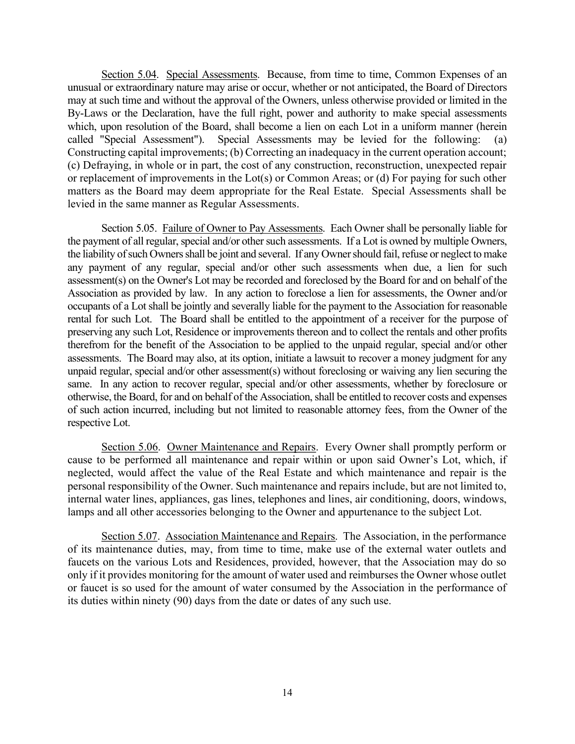Section 5.04. Special Assessments. Because, from time to time, Common Expenses of an unusual or extraordinary nature may arise or occur, whether or not anticipated, the Board of Directors may at such time and without the approval of the Owners, unless otherwise provided or limited in the By-Laws or the Declaration, have the full right, power and authority to make special assessments which, upon resolution of the Board, shall become a lien on each Lot in a uniform manner (herein called "Special Assessment"). Special Assessments may be levied for the following: (a) Constructing capital improvements; (b) Correcting an inadequacy in the current operation account; (c) Defraying, in whole or in part, the cost of any construction, reconstruction, unexpected repair or replacement of improvements in the Lot(s) or Common Areas; or (d) For paying for such other matters as the Board may deem appropriate for the Real Estate. Special Assessments shall be levied in the same manner as Regular Assessments.

Section 5.05. Failure of Owner to Pay Assessments. Each Owner shall be personally liable for the payment of all regular, special and/or other such assessments. If a Lot is owned by multiple Owners, the liability of such Owners shall be joint and several. If any Owner should fail, refuse or neglect to make any payment of any regular, special and/or other such assessments when due, a lien for such assessment(s) on the Owner's Lot may be recorded and foreclosed by the Board for and on behalf of the Association as provided by law. In any action to foreclose a lien for assessments, the Owner and/or occupants of a Lot shall be jointly and severally liable for the payment to the Association for reasonable rental for such Lot. The Board shall be entitled to the appointment of a receiver for the purpose of preserving any such Lot, Residence or improvements thereon and to collect the rentals and other profits therefrom for the benefit of the Association to be applied to the unpaid regular, special and/or other assessments. The Board may also, at its option, initiate a lawsuit to recover a money judgment for any unpaid regular, special and/or other assessment(s) without foreclosing or waiving any lien securing the same. In any action to recover regular, special and/or other assessments, whether by foreclosure or otherwise, the Board, for and on behalf of the Association, shall be entitled to recover costs and expenses of such action incurred, including but not limited to reasonable attorney fees, from the Owner of the respective Lot.

Section 5.06. Owner Maintenance and Repairs. Every Owner shall promptly perform or cause to be performed all maintenance and repair within or upon said Owner's Lot, which, if neglected, would affect the value of the Real Estate and which maintenance and repair is the personal responsibility of the Owner. Such maintenance and repairs include, but are not limited to, internal water lines, appliances, gas lines, telephones and lines, air conditioning, doors, windows, lamps and all other accessories belonging to the Owner and appurtenance to the subject Lot.

Section 5.07. Association Maintenance and Repairs. The Association, in the performance of its maintenance duties, may, from time to time, make use of the external water outlets and faucets on the various Lots and Residences, provided, however, that the Association may do so only if it provides monitoring for the amount of water used and reimburses the Owner whose outlet or faucet is so used for the amount of water consumed by the Association in the performance of its duties within ninety (90) days from the date or dates of any such use.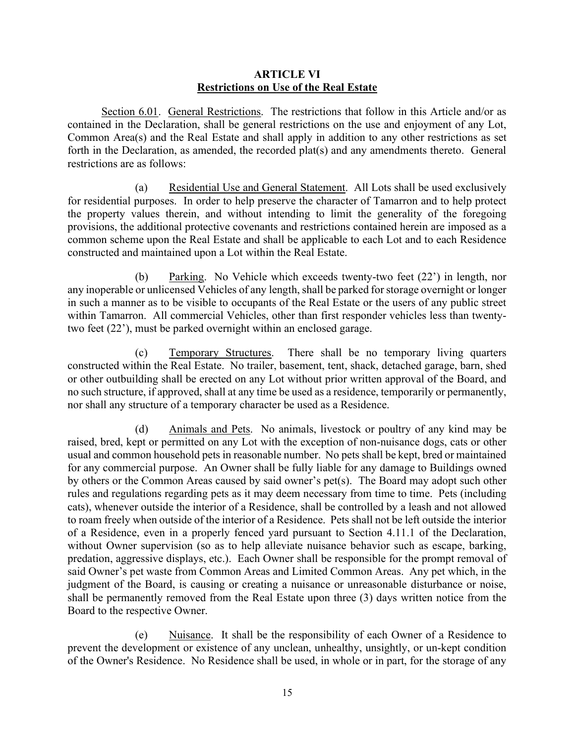#### ARTICLE VI Restrictions on Use of the Real Estate

Section 6.01. General Restrictions. The restrictions that follow in this Article and/or as contained in the Declaration, shall be general restrictions on the use and enjoyment of any Lot, Common Area(s) and the Real Estate and shall apply in addition to any other restrictions as set forth in the Declaration, as amended, the recorded plat(s) and any amendments thereto. General restrictions are as follows:

 (a) Residential Use and General Statement. All Lots shall be used exclusively for residential purposes. In order to help preserve the character of Tamarron and to help protect the property values therein, and without intending to limit the generality of the foregoing provisions, the additional protective covenants and restrictions contained herein are imposed as a common scheme upon the Real Estate and shall be applicable to each Lot and to each Residence constructed and maintained upon a Lot within the Real Estate.

 (b) Parking. No Vehicle which exceeds twenty-two feet (22') in length, nor any inoperable or unlicensed Vehicles of any length, shall be parked for storage overnight or longer in such a manner as to be visible to occupants of the Real Estate or the users of any public street within Tamarron. All commercial Vehicles, other than first responder vehicles less than twentytwo feet (22'), must be parked overnight within an enclosed garage.

 (c) Temporary Structures. There shall be no temporary living quarters constructed within the Real Estate. No trailer, basement, tent, shack, detached garage, barn, shed or other outbuilding shall be erected on any Lot without prior written approval of the Board, and no such structure, if approved, shall at any time be used as a residence, temporarily or permanently, nor shall any structure of a temporary character be used as a Residence.

 (d) Animals and Pets. No animals, livestock or poultry of any kind may be raised, bred, kept or permitted on any Lot with the exception of non-nuisance dogs, cats or other usual and common household pets in reasonable number. No pets shall be kept, bred or maintained for any commercial purpose. An Owner shall be fully liable for any damage to Buildings owned by others or the Common Areas caused by said owner's pet(s). The Board may adopt such other rules and regulations regarding pets as it may deem necessary from time to time. Pets (including cats), whenever outside the interior of a Residence, shall be controlled by a leash and not allowed to roam freely when outside of the interior of a Residence. Pets shall not be left outside the interior of a Residence, even in a properly fenced yard pursuant to Section 4.11.1 of the Declaration, without Owner supervision (so as to help alleviate nuisance behavior such as escape, barking, predation, aggressive displays, etc.). Each Owner shall be responsible for the prompt removal of said Owner's pet waste from Common Areas and Limited Common Areas. Any pet which, in the judgment of the Board, is causing or creating a nuisance or unreasonable disturbance or noise, shall be permanently removed from the Real Estate upon three (3) days written notice from the Board to the respective Owner.

 (e) Nuisance. It shall be the responsibility of each Owner of a Residence to prevent the development or existence of any unclean, unhealthy, unsightly, or un-kept condition of the Owner's Residence. No Residence shall be used, in whole or in part, for the storage of any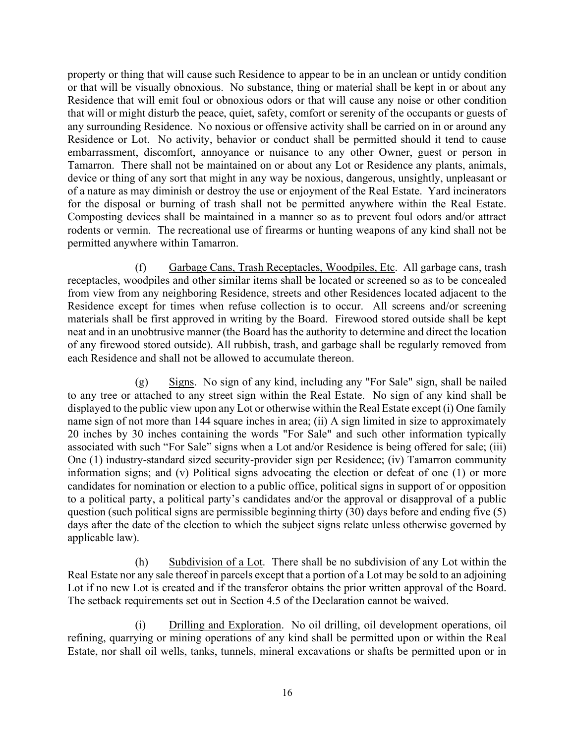property or thing that will cause such Residence to appear to be in an unclean or untidy condition or that will be visually obnoxious. No substance, thing or material shall be kept in or about any Residence that will emit foul or obnoxious odors or that will cause any noise or other condition that will or might disturb the peace, quiet, safety, comfort or serenity of the occupants or guests of any surrounding Residence. No noxious or offensive activity shall be carried on in or around any Residence or Lot. No activity, behavior or conduct shall be permitted should it tend to cause embarrassment, discomfort, annoyance or nuisance to any other Owner, guest or person in Tamarron. There shall not be maintained on or about any Lot or Residence any plants, animals, device or thing of any sort that might in any way be noxious, dangerous, unsightly, unpleasant or of a nature as may diminish or destroy the use or enjoyment of the Real Estate. Yard incinerators for the disposal or burning of trash shall not be permitted anywhere within the Real Estate. Composting devices shall be maintained in a manner so as to prevent foul odors and/or attract rodents or vermin. The recreational use of firearms or hunting weapons of any kind shall not be permitted anywhere within Tamarron.

 (f) Garbage Cans, Trash Receptacles, Woodpiles, Etc. All garbage cans, trash receptacles, woodpiles and other similar items shall be located or screened so as to be concealed from view from any neighboring Residence, streets and other Residences located adjacent to the Residence except for times when refuse collection is to occur. All screens and/or screening materials shall be first approved in writing by the Board. Firewood stored outside shall be kept neat and in an unobtrusive manner (the Board has the authority to determine and direct the location of any firewood stored outside). All rubbish, trash, and garbage shall be regularly removed from each Residence and shall not be allowed to accumulate thereon.

 (g) Signs. No sign of any kind, including any "For Sale" sign, shall be nailed to any tree or attached to any street sign within the Real Estate. No sign of any kind shall be displayed to the public view upon any Lot or otherwise within the Real Estate except (i) One family name sign of not more than 144 square inches in area; (ii) A sign limited in size to approximately 20 inches by 30 inches containing the words "For Sale" and such other information typically associated with such "For Sale" signs when a Lot and/or Residence is being offered for sale; (iii) One (1) industry-standard sized security-provider sign per Residence; (iv) Tamarron community information signs; and (v) Political signs advocating the election or defeat of one (1) or more candidates for nomination or election to a public office, political signs in support of or opposition to a political party, a political party's candidates and/or the approval or disapproval of a public question (such political signs are permissible beginning thirty (30) days before and ending five (5) days after the date of the election to which the subject signs relate unless otherwise governed by applicable law).

 (h) Subdivision of a Lot. There shall be no subdivision of any Lot within the Real Estate nor any sale thereof in parcels except that a portion of a Lot may be sold to an adjoining Lot if no new Lot is created and if the transferor obtains the prior written approval of the Board. The setback requirements set out in Section 4.5 of the Declaration cannot be waived.

 (i) Drilling and Exploration. No oil drilling, oil development operations, oil refining, quarrying or mining operations of any kind shall be permitted upon or within the Real Estate, nor shall oil wells, tanks, tunnels, mineral excavations or shafts be permitted upon or in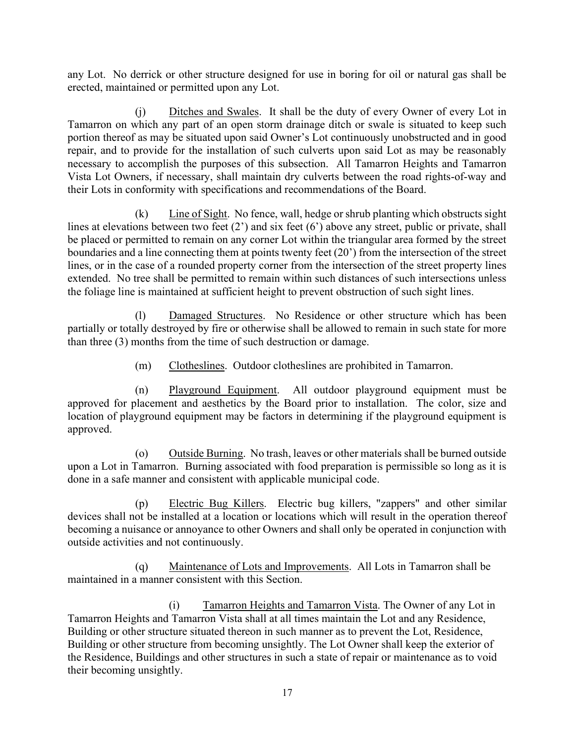any Lot. No derrick or other structure designed for use in boring for oil or natural gas shall be erected, maintained or permitted upon any Lot.

 (j) Ditches and Swales. It shall be the duty of every Owner of every Lot in Tamarron on which any part of an open storm drainage ditch or swale is situated to keep such portion thereof as may be situated upon said Owner's Lot continuously unobstructed and in good repair, and to provide for the installation of such culverts upon said Lot as may be reasonably necessary to accomplish the purposes of this subsection. All Tamarron Heights and Tamarron Vista Lot Owners, if necessary, shall maintain dry culverts between the road rights-of-way and their Lots in conformity with specifications and recommendations of the Board.

 (k) Line of Sight. No fence, wall, hedge or shrub planting which obstructs sight lines at elevations between two feet (2') and six feet (6') above any street, public or private, shall be placed or permitted to remain on any corner Lot within the triangular area formed by the street boundaries and a line connecting them at points twenty feet (20') from the intersection of the street lines, or in the case of a rounded property corner from the intersection of the street property lines extended. No tree shall be permitted to remain within such distances of such intersections unless the foliage line is maintained at sufficient height to prevent obstruction of such sight lines.

 (l) Damaged Structures. No Residence or other structure which has been partially or totally destroyed by fire or otherwise shall be allowed to remain in such state for more than three (3) months from the time of such destruction or damage.

(m) Clotheslines. Outdoor clotheslines are prohibited in Tamarron.

 (n) Playground Equipment. All outdoor playground equipment must be approved for placement and aesthetics by the Board prior to installation. The color, size and location of playground equipment may be factors in determining if the playground equipment is approved.

 (o) Outside Burning. No trash, leaves or other materials shall be burned outside upon a Lot in Tamarron. Burning associated with food preparation is permissible so long as it is done in a safe manner and consistent with applicable municipal code.

 (p) Electric Bug Killers. Electric bug killers, "zappers" and other similar devices shall not be installed at a location or locations which will result in the operation thereof becoming a nuisance or annoyance to other Owners and shall only be operated in conjunction with outside activities and not continuously.

 (q) Maintenance of Lots and Improvements. All Lots in Tamarron shall be maintained in a manner consistent with this Section.

(i) Tamarron Heights and Tamarron Vista. The Owner of any Lot in Tamarron Heights and Tamarron Vista shall at all times maintain the Lot and any Residence, Building or other structure situated thereon in such manner as to prevent the Lot, Residence, Building or other structure from becoming unsightly. The Lot Owner shall keep the exterior of the Residence, Buildings and other structures in such a state of repair or maintenance as to void their becoming unsightly.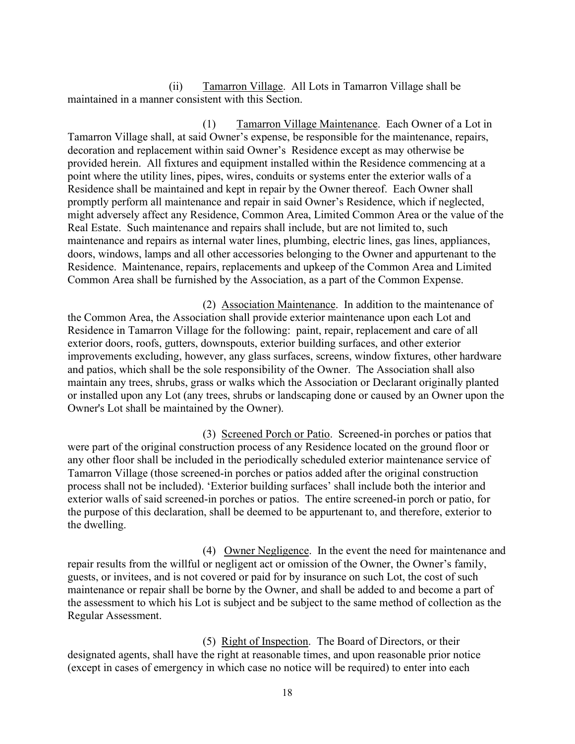(ii) Tamarron Village. All Lots in Tamarron Village shall be maintained in a manner consistent with this Section.

(1) Tamarron Village Maintenance. Each Owner of a Lot in Tamarron Village shall, at said Owner's expense, be responsible for the maintenance, repairs, decoration and replacement within said Owner's Residence except as may otherwise be provided herein. All fixtures and equipment installed within the Residence commencing at a point where the utility lines, pipes, wires, conduits or systems enter the exterior walls of a Residence shall be maintained and kept in repair by the Owner thereof. Each Owner shall promptly perform all maintenance and repair in said Owner's Residence, which if neglected, might adversely affect any Residence, Common Area, Limited Common Area or the value of the Real Estate. Such maintenance and repairs shall include, but are not limited to, such maintenance and repairs as internal water lines, plumbing, electric lines, gas lines, appliances, doors, windows, lamps and all other accessories belonging to the Owner and appurtenant to the Residence. Maintenance, repairs, replacements and upkeep of the Common Area and Limited Common Area shall be furnished by the Association, as a part of the Common Expense.

(2) Association Maintenance. In addition to the maintenance of the Common Area, the Association shall provide exterior maintenance upon each Lot and Residence in Tamarron Village for the following: paint, repair, replacement and care of all exterior doors, roofs, gutters, downspouts, exterior building surfaces, and other exterior improvements excluding, however, any glass surfaces, screens, window fixtures, other hardware and patios, which shall be the sole responsibility of the Owner. The Association shall also maintain any trees, shrubs, grass or walks which the Association or Declarant originally planted or installed upon any Lot (any trees, shrubs or landscaping done or caused by an Owner upon the Owner's Lot shall be maintained by the Owner).

(3) Screened Porch or Patio. Screened-in porches or patios that were part of the original construction process of any Residence located on the ground floor or any other floor shall be included in the periodically scheduled exterior maintenance service of Tamarron Village (those screened-in porches or patios added after the original construction process shall not be included). 'Exterior building surfaces' shall include both the interior and exterior walls of said screened-in porches or patios. The entire screened-in porch or patio, for the purpose of this declaration, shall be deemed to be appurtenant to, and therefore, exterior to the dwelling.

(4) Owner Negligence. In the event the need for maintenance and repair results from the willful or negligent act or omission of the Owner, the Owner's family, guests, or invitees, and is not covered or paid for by insurance on such Lot, the cost of such maintenance or repair shall be borne by the Owner, and shall be added to and become a part of the assessment to which his Lot is subject and be subject to the same method of collection as the Regular Assessment.

(5) Right of Inspection. The Board of Directors, or their designated agents, shall have the right at reasonable times, and upon reasonable prior notice (except in cases of emergency in which case no notice will be required) to enter into each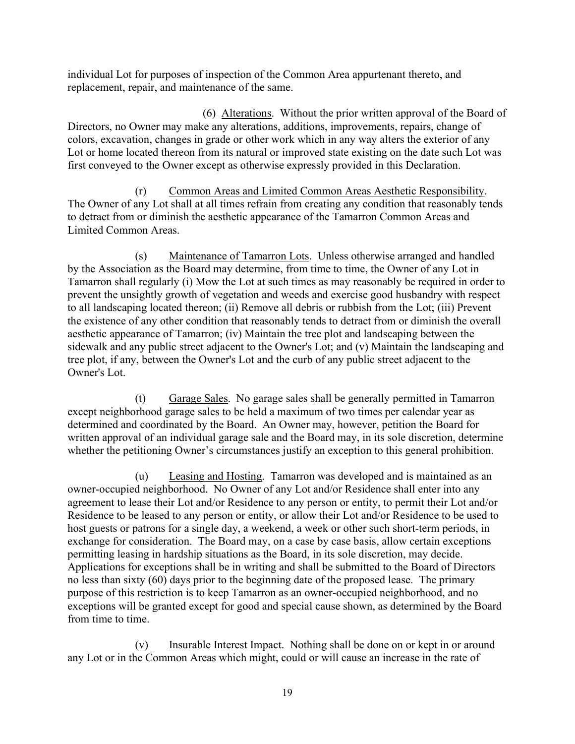individual Lot for purposes of inspection of the Common Area appurtenant thereto, and replacement, repair, and maintenance of the same.

(6) Alterations. Without the prior written approval of the Board of Directors, no Owner may make any alterations, additions, improvements, repairs, change of colors, excavation, changes in grade or other work which in any way alters the exterior of any Lot or home located thereon from its natural or improved state existing on the date such Lot was first conveyed to the Owner except as otherwise expressly provided in this Declaration.

 (r) Common Areas and Limited Common Areas Aesthetic Responsibility. The Owner of any Lot shall at all times refrain from creating any condition that reasonably tends to detract from or diminish the aesthetic appearance of the Tamarron Common Areas and Limited Common Areas.

 (s) Maintenance of Tamarron Lots. Unless otherwise arranged and handled by the Association as the Board may determine, from time to time, the Owner of any Lot in Tamarron shall regularly (i) Mow the Lot at such times as may reasonably be required in order to prevent the unsightly growth of vegetation and weeds and exercise good husbandry with respect to all landscaping located thereon; (ii) Remove all debris or rubbish from the Lot; (iii) Prevent the existence of any other condition that reasonably tends to detract from or diminish the overall aesthetic appearance of Tamarron; (iv) Maintain the tree plot and landscaping between the sidewalk and any public street adjacent to the Owner's Lot; and (v) Maintain the landscaping and tree plot, if any, between the Owner's Lot and the curb of any public street adjacent to the Owner's Lot.

 (t) Garage Sales. No garage sales shall be generally permitted in Tamarron except neighborhood garage sales to be held a maximum of two times per calendar year as determined and coordinated by the Board. An Owner may, however, petition the Board for written approval of an individual garage sale and the Board may, in its sole discretion, determine whether the petitioning Owner's circumstances justify an exception to this general prohibition.

 (u) Leasing and Hosting. Tamarron was developed and is maintained as an owner-occupied neighborhood. No Owner of any Lot and/or Residence shall enter into any agreement to lease their Lot and/or Residence to any person or entity, to permit their Lot and/or Residence to be leased to any person or entity, or allow their Lot and/or Residence to be used to host guests or patrons for a single day, a weekend, a week or other such short-term periods, in exchange for consideration. The Board may, on a case by case basis, allow certain exceptions permitting leasing in hardship situations as the Board, in its sole discretion, may decide. Applications for exceptions shall be in writing and shall be submitted to the Board of Directors no less than sixty (60) days prior to the beginning date of the proposed lease. The primary purpose of this restriction is to keep Tamarron as an owner-occupied neighborhood, and no exceptions will be granted except for good and special cause shown, as determined by the Board from time to time.

 (v) Insurable Interest Impact. Nothing shall be done on or kept in or around any Lot or in the Common Areas which might, could or will cause an increase in the rate of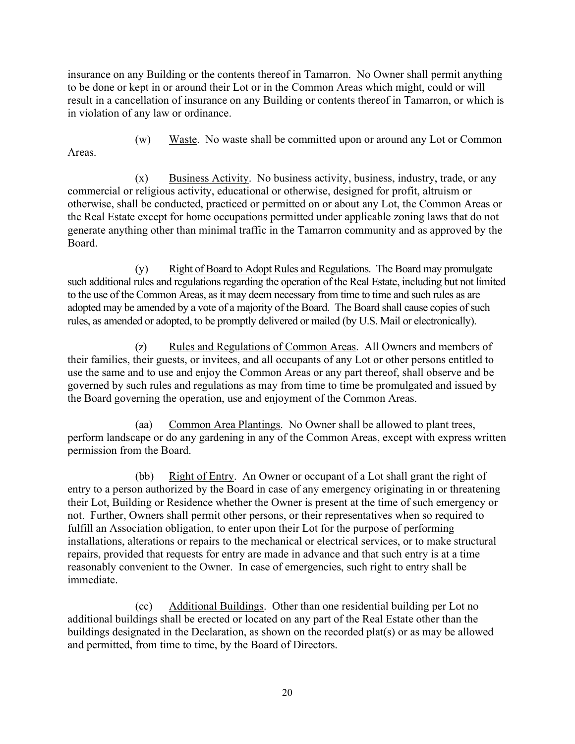insurance on any Building or the contents thereof in Tamarron. No Owner shall permit anything to be done or kept in or around their Lot or in the Common Areas which might, could or will result in a cancellation of insurance on any Building or contents thereof in Tamarron, or which is in violation of any law or ordinance.

(w) Waste. No waste shall be committed upon or around any Lot or Common

Areas.

 (x) Business Activity. No business activity, business, industry, trade, or any commercial or religious activity, educational or otherwise, designed for profit, altruism or otherwise, shall be conducted, practiced or permitted on or about any Lot, the Common Areas or the Real Estate except for home occupations permitted under applicable zoning laws that do not generate anything other than minimal traffic in the Tamarron community and as approved by the Board.

 (y) Right of Board to Adopt Rules and Regulations. The Board may promulgate such additional rules and regulations regarding the operation of the Real Estate, including but not limited to the use of the Common Areas, as it may deem necessary from time to time and such rules as are adopted may be amended by a vote of a majority of the Board. The Board shall cause copies of such rules, as amended or adopted, to be promptly delivered or mailed (by U.S. Mail or electronically).

 (z) Rules and Regulations of Common Areas. All Owners and members of their families, their guests, or invitees, and all occupants of any Lot or other persons entitled to use the same and to use and enjoy the Common Areas or any part thereof, shall observe and be governed by such rules and regulations as may from time to time be promulgated and issued by the Board governing the operation, use and enjoyment of the Common Areas.

 (aa) Common Area Plantings. No Owner shall be allowed to plant trees, perform landscape or do any gardening in any of the Common Areas, except with express written permission from the Board.

 (bb) Right of Entry. An Owner or occupant of a Lot shall grant the right of entry to a person authorized by the Board in case of any emergency originating in or threatening their Lot, Building or Residence whether the Owner is present at the time of such emergency or not. Further, Owners shall permit other persons, or their representatives when so required to fulfill an Association obligation, to enter upon their Lot for the purpose of performing installations, alterations or repairs to the mechanical or electrical services, or to make structural repairs, provided that requests for entry are made in advance and that such entry is at a time reasonably convenient to the Owner. In case of emergencies, such right to entry shall be immediate.

 (cc) Additional Buildings. Other than one residential building per Lot no additional buildings shall be erected or located on any part of the Real Estate other than the buildings designated in the Declaration, as shown on the recorded plat(s) or as may be allowed and permitted, from time to time, by the Board of Directors.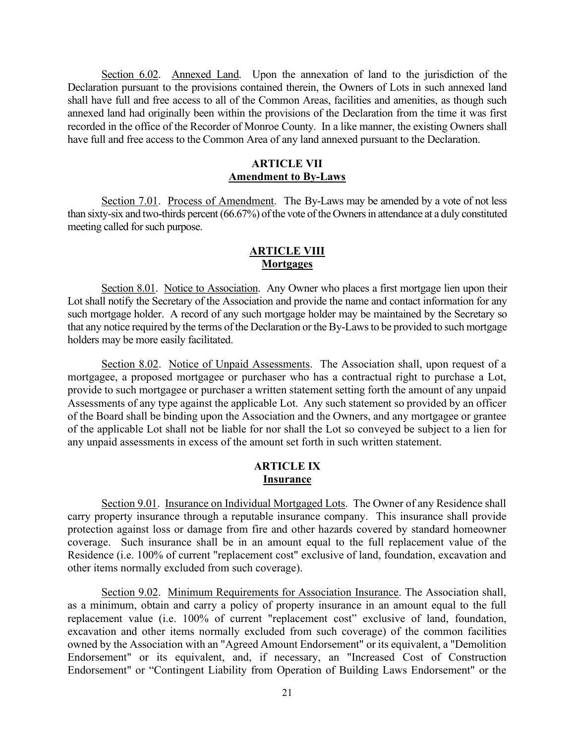Section 6.02. Annexed Land. Upon the annexation of land to the jurisdiction of the Declaration pursuant to the provisions contained therein, the Owners of Lots in such annexed land shall have full and free access to all of the Common Areas, facilities and amenities, as though such annexed land had originally been within the provisions of the Declaration from the time it was first recorded in the office of the Recorder of Monroe County. In a like manner, the existing Owners shall have full and free access to the Common Area of any land annexed pursuant to the Declaration.

## ARTICLE VII Amendment to By-Laws

Section 7.01. Process of Amendment. The By-Laws may be amended by a vote of not less than sixty-six and two-thirds percent (66.67%) of the vote of the Owners in attendance at a duly constituted meeting called for such purpose.

## **ARTICLE VIII Mortgages**

Section 8.01. Notice to Association. Any Owner who places a first mortgage lien upon their Lot shall notify the Secretary of the Association and provide the name and contact information for any such mortgage holder. A record of any such mortgage holder may be maintained by the Secretary so that any notice required by the terms of the Declaration or the By-Laws to be provided to such mortgage holders may be more easily facilitated.

Section 8.02. Notice of Unpaid Assessments. The Association shall, upon request of a mortgagee, a proposed mortgagee or purchaser who has a contractual right to purchase a Lot, provide to such mortgagee or purchaser a written statement setting forth the amount of any unpaid Assessments of any type against the applicable Lot. Any such statement so provided by an officer of the Board shall be binding upon the Association and the Owners, and any mortgagee or grantee of the applicable Lot shall not be liable for nor shall the Lot so conveyed be subject to a lien for any unpaid assessments in excess of the amount set forth in such written statement.

#### ARTICLE IX Insurance

Section 9.01. Insurance on Individual Mortgaged Lots. The Owner of any Residence shall carry property insurance through a reputable insurance company. This insurance shall provide protection against loss or damage from fire and other hazards covered by standard homeowner coverage. Such insurance shall be in an amount equal to the full replacement value of the Residence (i.e. 100% of current "replacement cost" exclusive of land, foundation, excavation and other items normally excluded from such coverage).

Section 9.02. Minimum Requirements for Association Insurance. The Association shall, as a minimum, obtain and carry a policy of property insurance in an amount equal to the full replacement value (i.e. 100% of current "replacement cost" exclusive of land, foundation, excavation and other items normally excluded from such coverage) of the common facilities owned by the Association with an "Agreed Amount Endorsement" or its equivalent, a "Demolition Endorsement" or its equivalent, and, if necessary, an "Increased Cost of Construction Endorsement" or "Contingent Liability from Operation of Building Laws Endorsement" or the